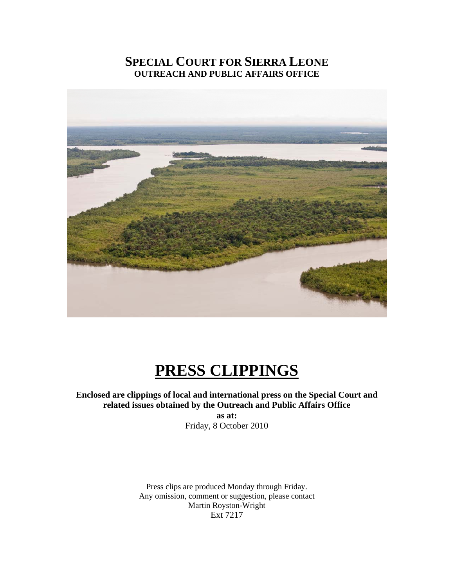# **SPECIAL COURT FOR SIERRA LEONE OUTREACH AND PUBLIC AFFAIRS OFFICE**



# **PRESS CLIPPINGS**

## **Enclosed are clippings of local and international press on the Special Court and related issues obtained by the Outreach and Public Affairs Office**

**as at:**  Friday, 8 October 2010

Press clips are produced Monday through Friday. Any omission, comment or suggestion, please contact Martin Royston-Wright Ext 7217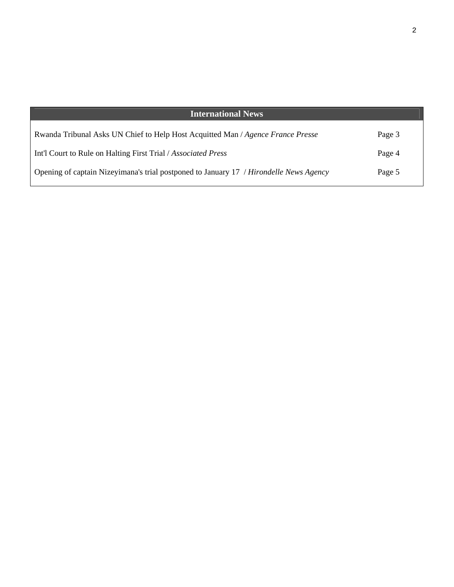| <b>International News</b>                                                              |        |
|----------------------------------------------------------------------------------------|--------|
| Rwanda Tribunal Asks UN Chief to Help Host Acquitted Man / Agence France Presse        | Page 3 |
| Int'l Court to Rule on Halting First Trial / Associated Press                          | Page 4 |
| Opening of captain Nizeyimana's trial postponed to January 17 / Hirondelle News Agency | Page 5 |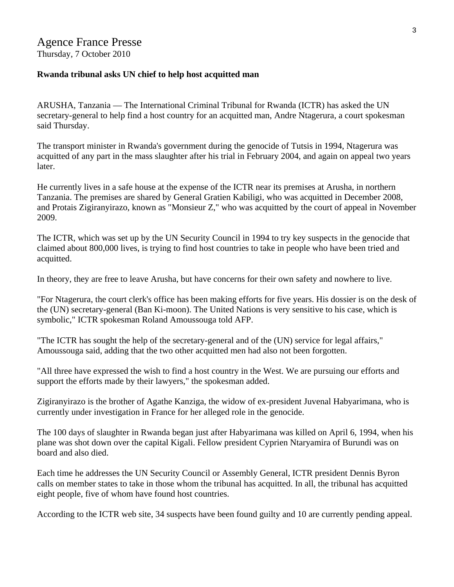#### **Rwanda tribunal asks UN chief to help host acquitted man**

ARUSHA, Tanzania — The International Criminal Tribunal for Rwanda (ICTR) has asked the UN secretary-general to help find a host country for an acquitted man, Andre Ntagerura, a court spokesman said Thursday.

The transport minister in Rwanda's government during the genocide of Tutsis in 1994, Ntagerura was acquitted of any part in the mass slaughter after his trial in February 2004, and again on appeal two years later.

He currently lives in a safe house at the expense of the ICTR near its premises at Arusha, in northern Tanzania. The premises are shared by General Gratien Kabiligi, who was acquitted in December 2008, and Protais Zigiranyirazo, known as "Monsieur Z," who was acquitted by the court of appeal in November 2009.

The ICTR, which was set up by the UN Security Council in 1994 to try key suspects in the genocide that claimed about 800,000 lives, is trying to find host countries to take in people who have been tried and acquitted.

In theory, they are free to leave Arusha, but have concerns for their own safety and nowhere to live.

"For Ntagerura, the court clerk's office has been making efforts for five years. His dossier is on the desk of the (UN) secretary-general (Ban Ki-moon). The United Nations is very sensitive to his case, which is symbolic," ICTR spokesman Roland Amoussouga told AFP.

"The ICTR has sought the help of the secretary-general and of the (UN) service for legal affairs," Amoussouga said, adding that the two other acquitted men had also not been forgotten.

"All three have expressed the wish to find a host country in the West. We are pursuing our efforts and support the efforts made by their lawyers," the spokesman added.

Zigiranyirazo is the brother of Agathe Kanziga, the widow of ex-president Juvenal Habyarimana, who is currently under investigation in France for her alleged role in the genocide.

The 100 days of slaughter in Rwanda began just after Habyarimana was killed on April 6, 1994, when his plane was shot down over the capital Kigali. Fellow president Cyprien Ntaryamira of Burundi was on board and also died.

Each time he addresses the UN Security Council or Assembly General, ICTR president Dennis Byron calls on member states to take in those whom the tribunal has acquitted. In all, the tribunal has acquitted eight people, five of whom have found host countries.

According to the ICTR web site, 34 suspects have been found guilty and 10 are currently pending appeal.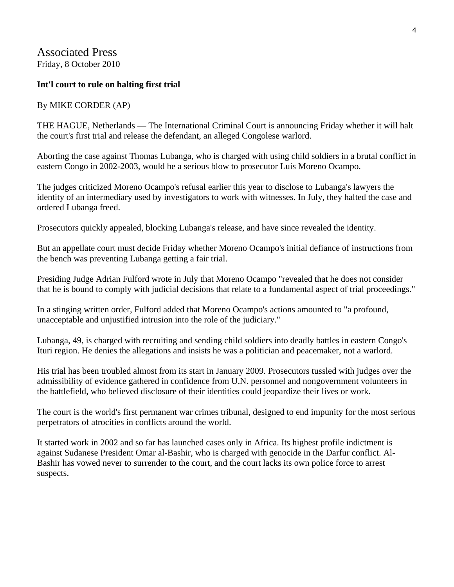Associated Press Friday, 8 October 2010

#### **Int'l court to rule on halting first trial**

#### By MIKE CORDER (AP)

THE HAGUE, Netherlands — The International Criminal Court is announcing Friday whether it will halt the court's first trial and release the defendant, an alleged Congolese warlord.

Aborting the case against Thomas Lubanga, who is charged with using child soldiers in a brutal conflict in eastern Congo in 2002-2003, would be a serious blow to prosecutor Luis Moreno Ocampo.

The judges criticized Moreno Ocampo's refusal earlier this year to disclose to Lubanga's lawyers the identity of an intermediary used by investigators to work with witnesses. In July, they halted the case and ordered Lubanga freed.

Prosecutors quickly appealed, blocking Lubanga's release, and have since revealed the identity.

But an appellate court must decide Friday whether Moreno Ocampo's initial defiance of instructions from the bench was preventing Lubanga getting a fair trial.

Presiding Judge Adrian Fulford wrote in July that Moreno Ocampo "revealed that he does not consider that he is bound to comply with judicial decisions that relate to a fundamental aspect of trial proceedings."

In a stinging written order, Fulford added that Moreno Ocampo's actions amounted to "a profound, unacceptable and unjustified intrusion into the role of the judiciary."

Lubanga, 49, is charged with recruiting and sending child soldiers into deadly battles in eastern Congo's Ituri region. He denies the allegations and insists he was a politician and peacemaker, not a warlord.

His trial has been troubled almost from its start in January 2009. Prosecutors tussled with judges over the admissibility of evidence gathered in confidence from U.N. personnel and nongovernment volunteers in the battlefield, who believed disclosure of their identities could jeopardize their lives or work.

The court is the world's first permanent war crimes tribunal, designed to end impunity for the most serious perpetrators of atrocities in conflicts around the world.

It started work in 2002 and so far has launched cases only in Africa. Its highest profile indictment is against Sudanese President Omar al-Bashir, who is charged with genocide in the Darfur conflict. Al-Bashir has vowed never to surrender to the court, and the court lacks its own police force to arrest suspects.